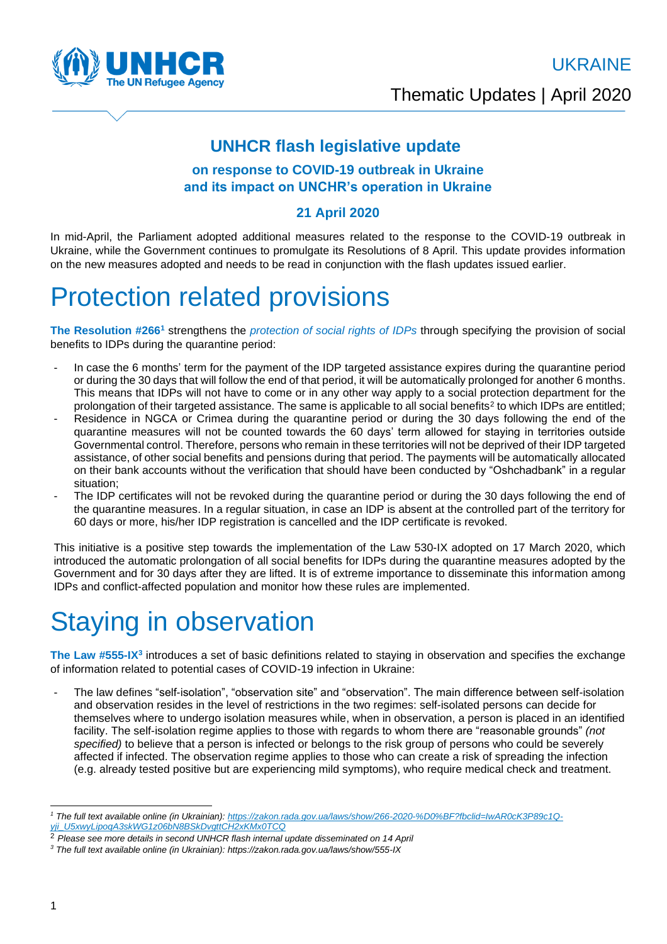**he UN Refugee Agency** 

UKRAINE

Thematic Updates | April 2020

### **UNHCR flash legislative update**

#### **on response to COVID-19 outbreak in Ukraine and its impact on UNCHR's operation in Ukraine**

#### **21 April 2020**

In mid-April, the Parliament adopted additional measures related to the response to the COVID-19 outbreak in Ukraine, while the Government continues to promulgate its Resolutions of 8 April. This update provides information on the new measures adopted and needs to be read in conjunction with the flash updates issued earlier.

## Protection related provisions

The Resolution #266<sup>1</sup> strengthens the *protection of social rights of IDPs* through specifying the provision of social benefits to IDPs during the quarantine period:

- In case the 6 months' term for the payment of the IDP targeted assistance expires during the quarantine period or during the 30 days that will follow the end of that period, it will be automatically prolonged for another 6 months. This means that IDPs will not have to come or in any other way apply to a social protection department for the prolongation of their targeted assistance. The same is applicable to all social benefits<sup>2</sup> to which IDPs are entitled;
- Residence in NGCA or Crimea during the quarantine period or during the 30 days following the end of the quarantine measures will not be counted towards the 60 days' term allowed for staying in territories outside Governmental control. Therefore, persons who remain in these territories will not be deprived of their IDP targeted assistance, of other social benefits and pensions during that period. The payments will be automatically allocated on their bank accounts without the verification that should have been conducted by "Oshchadbank" in a regular situation;
- The IDP certificates will not be revoked during the quarantine period or during the 30 days following the end of the quarantine measures. In a regular situation, in case an IDP is absent at the controlled part of the territory for 60 days or more, his/her IDP registration is cancelled and the IDP certificate is revoked.

This initiative is a positive step towards the implementation of the Law 530-IX adopted on 17 March 2020, which introduced the automatic prolongation of all social benefits for IDPs during the quarantine measures adopted by the Government and for 30 days after they are lifted. It is of extreme importance to disseminate this information among IDPs and conflict-affected population and monitor how these rules are implemented.

# Staying in observation

**The Law #555-IX<sup>3</sup>** introduces a set of basic definitions related to staying in observation and specifies the exchange of information related to potential cases of COVID-19 infection in Ukraine:

The law defines "self-isolation", "observation site" and "observation". The main difference between self-isolation and observation resides in the level of restrictions in the two regimes: self-isolated persons can decide for themselves where to undergo isolation measures while, when in observation, a person is placed in an identified facility. The self-isolation regime applies to those with regards to whom there are "reasonable grounds" *(not specified)* to believe that a person is infected or belongs to the risk group of persons who could be severely affected if infected. The observation regime applies to those who can create a risk of spreading the infection (e.g. already tested positive but are experiencing mild symptoms), who require medical check and treatment.

*<sup>1</sup> The full text available online (in Ukrainian): [https://zakon.rada.gov.ua/laws/show/266-2020-%D0%BF?fbclid=IwAR0cK3P89c1Q](https://zakon.rada.gov.ua/laws/show/266-2020-%D0%BF?fbclid=IwAR0cK3P89c1Q-yji_U5xwyLipoqA3skWG1z06bN8BSkDvgttCH2xKMx0TCQ)[yji\\_U5xwyLipoqA3skWG1z06bN8BSkDvgttCH2xKMx0TCQ](https://zakon.rada.gov.ua/laws/show/266-2020-%D0%BF?fbclid=IwAR0cK3P89c1Q-yji_U5xwyLipoqA3skWG1z06bN8BSkDvgttCH2xKMx0TCQ)*

<sup>2</sup> *Please see more details in second UNHCR flash internal update disseminated on 14 April* 

*<sup>3</sup> The full text available online (in Ukrainian): https://zakon.rada.gov.ua/laws/show/555-IX*